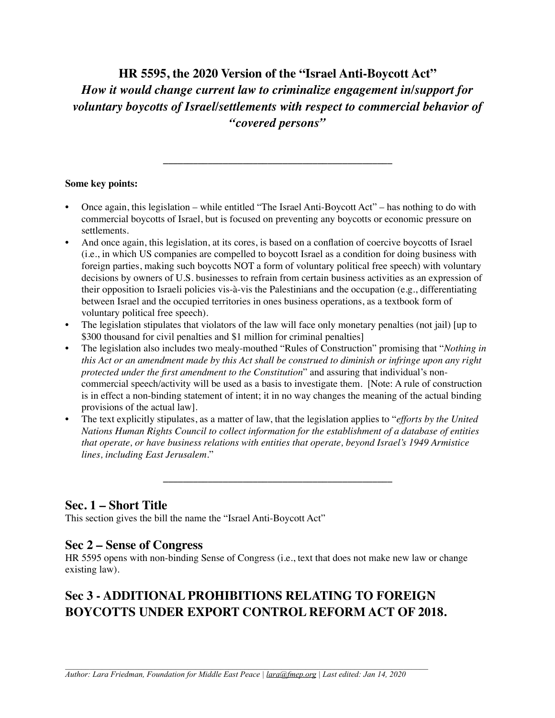**HR 5595, the 2020 Version of the "Israel Anti-Boycott Act"** *How it would change current law to criminalize engagement in/support for voluntary boycotts of Israel/settlements with respect to commercial behavior of "covered persons"*

**\_\_\_\_\_\_\_\_\_\_\_\_\_\_\_\_\_\_\_\_\_\_\_\_\_\_\_\_\_\_\_\_\_\_\_\_\_\_\_\_\_\_\_\_\_\_**

#### **Some key points:**

- Once again, this legislation while entitled "The Israel Anti-Boycott Act" has nothing to do with commercial boycotts of Israel, but is focused on preventing any boycotts or economic pressure on settlements.
- And once again, this legislation, at its cores, is based on a conflation of coercive boycotts of Israel (i.e., in which US companies are compelled to boycott Israel as a condition for doing business with foreign parties, making such boycotts NOT a form of voluntary political free speech) with voluntary decisions by owners of U.S. businesses to refrain from certain business activities as an expression of their opposition to Israeli policies vis-à-vis the Palestinians and the occupation (e.g., differentiating between Israel and the occupied territories in ones business operations, as a textbook form of voluntary political free speech).
- The legislation stipulates that violators of the law will face only monetary penalties (not jail) [up to \$300 thousand for civil penalties and \$1 million for criminal penalties]
- The legislation also includes two mealy-mouthed "Rules of Construction" promising that "*Nothing in this Act or an amendment made by this Act shall be construed to diminish or infringe upon any right protected under the first amendment to the Constitution*" and assuring that individual's noncommercial speech/activity will be used as a basis to investigate them. [Note: A rule of construction is in effect a non-binding statement of intent; it in no way changes the meaning of the actual binding provisions of the actual law].
- The text explicitly stipulates, as a matter of law, that the legislation applies to "*efforts by the United Nations Human Rights Council to collect information for the establishment of a database of entities that operate, or have business relations with entities that operate, beyond Israel's 1949 Armistice lines, including East Jerusalem.*"

**\_\_\_\_\_\_\_\_\_\_\_\_\_\_\_\_\_\_\_\_\_\_\_\_\_\_\_\_\_\_\_\_\_\_\_\_\_\_\_\_\_\_\_\_\_\_**

# **Sec. 1 – Short Title**

This section gives the bill the name the "Israel Anti-Boycott Act"

## **Sec 2 – Sense of Congress**

HR 5595 opens with non-binding Sense of Congress (i.e., text that does not make new law or change existing law).

# **Sec 3 - ADDITIONAL PROHIBITIONS RELATING TO FOREIGN BOYCOTTS UNDER EXPORT CONTROL REFORM ACT OF 2018.**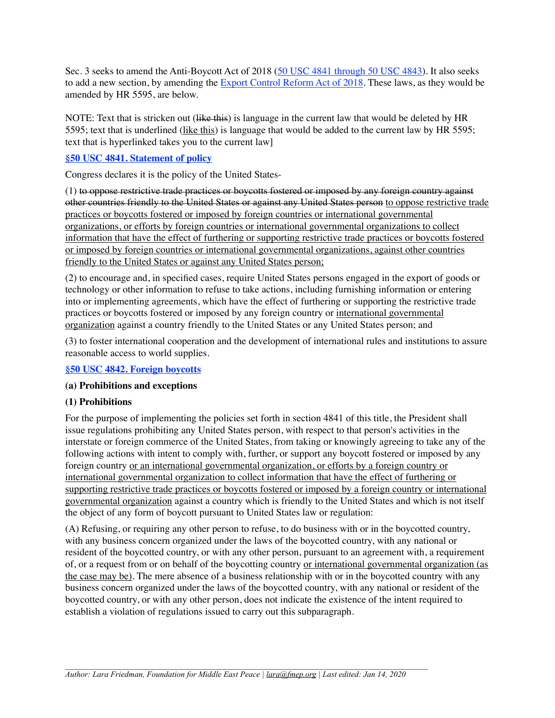Sec. 3 seeks to amend the Anti-Boycott Act of 2018 [\(50 USC 4841 through 50 USC 4843\)](https://uscode.house.gov/view.xhtml?path=/prelim@title50/chapter58/subchapter2&edition=prelim). It also seeks to add a new section, by amending the [Export Control Reform Act of 2018.](https://www.congress.gov/bill/115th-congress/house-bill/5515/text) These laws, as they would be amended by HR 5595, are below.

NOTE: Text that is stricken out (like this) is language in the current law that would be deleted by HR 5595; text that is underlined (like this) is language that would be added to the current law by HR 5595; text that is hyperlinked takes you to the current law]

#### **[§50 USC 4841. Statement of policy](https://uscode.house.gov/view.xhtml?hl=false&edition=2018&path=%2Fprelim%40title50%2Fchapter58%2Fsubchapter2&req=granuleid%3AUSC-2018-title50-section4841&num=0&saved=L3ByZWxpbUB0aXRsZTUwL2NoYXB0ZXI1OC9zdWJjaGFwdGVyMg%3D%3D%7CZ3JhbnVsZWlkOlVTQy1wcmVsaW0tdGl0bGU1MC1jaGFwdGVyNTgtc3ViY2hhcHRlcjI%3D%7C%7C%7C0%7Cfalse%7Cprelim)**

Congress declares it is the policy of the United States-

(1) to oppose restrictive trade practices or boycotts fostered or imposed by any foreign country against other countries friendly to the United States or against any United States person to oppose restrictive trade practices or boycotts fostered or imposed by foreign countries or international governmental organizations, or efforts by foreign countries or international governmental organizations to collect information that have the effect of furthering or supporting restrictive trade practices or boycotts fostered or imposed by foreign countries or international governmental organizations, against other countries friendly to the United States or against any United States person;

(2) to encourage and, in specified cases, require United States persons engaged in the export of goods or technology or other information to refuse to take actions, including furnishing information or entering into or implementing agreements, which have the effect of furthering or supporting the restrictive trade practices or boycotts fostered or imposed by any foreign country or international governmental organization against a country friendly to the United States or any United States person; and

(3) to foster international cooperation and the development of international rules and institutions to assure reasonable access to world supplies.

#### **[§50 USC 4842. Foreign boycotts](https://uscode.house.gov/view.xhtml?hl=false&edition=2018&path=%2Fprelim%40title50%2Fchapter58%2Fsubchapter2&req=granuleid%3AUSC-2018-title50-section4842&num=0&saved=L3ByZWxpbUB0aXRsZTUwL2NoYXB0ZXI1OC9zdWJjaGFwdGVyMg%3D%3D%7CZ3JhbnVsZWlkOlVTQy1wcmVsaW0tdGl0bGU1MC1jaGFwdGVyNTgtc3ViY2hhcHRlcjI%3D%7C%7C%7C0%7Cfalse%7Cprelim)**

#### **(a) Prohibitions and exceptions**

## **(1) Prohibitions**

For the purpose of implementing the policies set forth in section 4841 of this title, the President shall issue regulations prohibiting any United States person, with respect to that person's activities in the interstate or foreign commerce of the United States, from taking or knowingly agreeing to take any of the following actions with intent to comply with, further, or support any boycott fostered or imposed by any foreign country or an international governmental organization, or efforts by a foreign country or international governmental organization to collect information that have the effect of furthering or supporting restrictive trade practices or boycotts fostered or imposed by a foreign country or international governmental organization against a country which is friendly to the United States and which is not itself the object of any form of boycott pursuant to United States law or regulation:

(A) Refusing, or requiring any other person to refuse, to do business with or in the boycotted country, with any business concern organized under the laws of the boycotted country, with any national or resident of the boycotted country, or with any other person, pursuant to an agreement with, a requirement of, or a request from or on behalf of the boycotting country or international governmental organization (as the case may be). The mere absence of a business relationship with or in the boycotted country with any business concern organized under the laws of the boycotted country, with any national or resident of the boycotted country, or with any other person, does not indicate the existence of the intent required to establish a violation of regulations issued to carry out this subparagraph.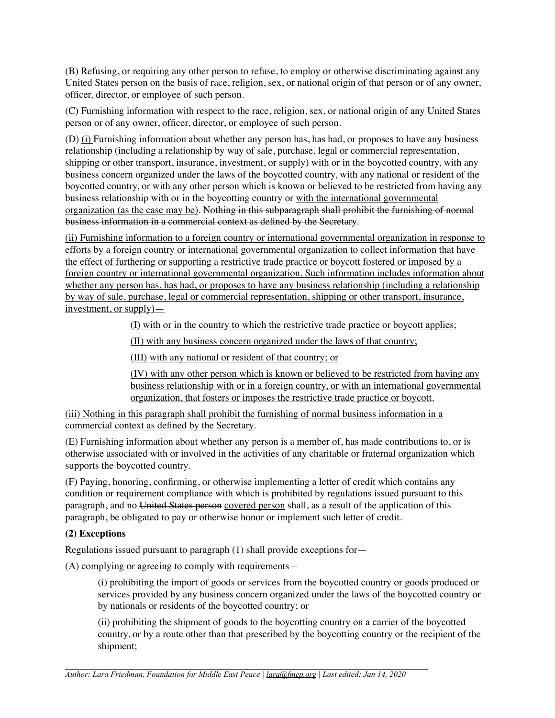(B) Refusing, or requiring any other person to refuse, to employ or otherwise discriminating against any United States person on the basis of race, religion, sex, or national origin of that person or of any owner, officer, director, or employee of such person.

(C) Furnishing information with respect to the race, religion, sex, or national origin of any United States person or of any owner, officer, director, or employee of such person.

(D) (i) Furnishing information about whether any person has, has had, or proposes to have any business relationship (including a relationship by way of sale, purchase, legal or commercial representation, shipping or other transport, insurance, investment, or supply) with or in the boycotted country, with any business concern organized under the laws of the boycotted country, with any national or resident of the boycotted country, or with any other person which is known or believed to be restricted from having any business relationship with or in the boycotting country or with the international governmental organization (as the case may be). Nothing in this subparagraph shall prohibit the furnishing of normal business information in a commercial context as defined by the Secretary.

(ii) Furnishing information to a foreign country or international governmental organization in response to efforts by a foreign country or international governmental organization to collect information that have the effect of furthering or supporting a restrictive trade practice or boycott fostered or imposed by a foreign country or international governmental organization. Such information includes information about whether any person has, has had, or proposes to have any business relationship (including a relationship by way of sale, purchase, legal or commercial representation, shipping or other transport, insurance, investment, or supply)—

(I) with or in the country to which the restrictive trade practice or boycott applies;

(II) with any business concern organized under the laws of that country;

(III) with any national or resident of that country; or

(IV) with any other person which is known or believed to be restricted from having any business relationship with or in a foreign country, or with an international governmental organization, that fosters or imposes the restrictive trade practice or boycott.

(iii) Nothing in this paragraph shall prohibit the furnishing of normal business information in a commercial context as defined by the Secretary.

(E) Furnishing information about whether any person is a member of, has made contributions to, or is otherwise associated with or involved in the activities of any charitable or fraternal organization which supports the boycotted country.

(F) Paying, honoring, confirming, or otherwise implementing a letter of credit which contains any condition or requirement compliance with which is prohibited by regulations issued pursuant to this paragraph, and no United States person covered person shall, as a result of the application of this paragraph, be obligated to pay or otherwise honor or implement such letter of credit.

#### **(2) Exceptions**

Regulations issued pursuant to paragraph (1) shall provide exceptions for—

(A) complying or agreeing to comply with requirements—

(i) prohibiting the import of goods or services from the boycotted country or goods produced or services provided by any business concern organized under the laws of the boycotted country or by nationals or residents of the boycotted country; or

(ii) prohibiting the shipment of goods to the boycotting country on a carrier of the boycotted country, or by a route other than that prescribed by the boycotting country or the recipient of the shipment;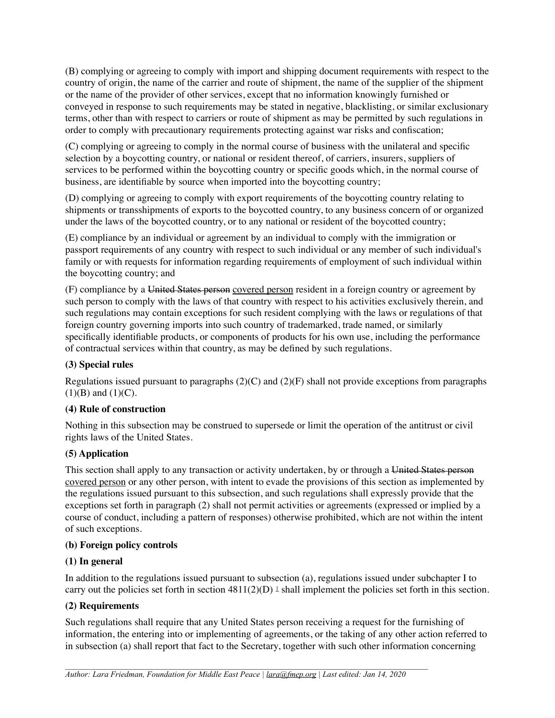(B) complying or agreeing to comply with import and shipping document requirements with respect to the country of origin, the name of the carrier and route of shipment, the name of the supplier of the shipment or the name of the provider of other services, except that no information knowingly furnished or conveyed in response to such requirements may be stated in negative, blacklisting, or similar exclusionary terms, other than with respect to carriers or route of shipment as may be permitted by such regulations in order to comply with precautionary requirements protecting against war risks and confiscation;

(C) complying or agreeing to comply in the normal course of business with the unilateral and specific selection by a boycotting country, or national or resident thereof, of carriers, insurers, suppliers of services to be performed within the boycotting country or specific goods which, in the normal course of business, are identifiable by source when imported into the boycotting country;

(D) complying or agreeing to comply with export requirements of the boycotting country relating to shipments or transshipments of exports to the boycotted country, to any business concern of or organized under the laws of the boycotted country, or to any national or resident of the boycotted country;

(E) compliance by an individual or agreement by an individual to comply with the immigration or passport requirements of any country with respect to such individual or any member of such individual's family or with requests for information regarding requirements of employment of such individual within the boycotting country; and

(F) compliance by a United States person covered person resident in a foreign country or agreement by such person to comply with the laws of that country with respect to his activities exclusively therein, and such regulations may contain exceptions for such resident complying with the laws or regulations of that foreign country governing imports into such country of trademarked, trade named, or similarly specifically identifiable products, or components of products for his own use, including the performance of contractual services within that country, as may be defined by such regulations.

## **(3) Special rules**

Regulations issued pursuant to paragraphs  $(2)(C)$  and  $(2)(F)$  shall not provide exceptions from paragraphs  $(1)(B)$  and  $(1)(C)$ .

#### **(4) Rule of construction**

Nothing in this subsection may be construed to supersede or limit the operation of the antitrust or civil rights laws of the United States.

## **(5) Application**

This section shall apply to any transaction or activity undertaken, by or through a United States person covered person or any other person, with intent to evade the provisions of this section as implemented by the regulations issued pursuant to this subsection, and such regulations shall expressly provide that the exceptions set forth in paragraph (2) shall not permit activities or agreements (expressed or implied by a course of conduct, including a pattern of responses) otherwise prohibited, which are not within the intent of such exceptions.

#### **(b) Foreign policy controls**

#### **(1) In general**

In addition to the regulations issued pursuant to subsection (a), regulations issued under subchapter I to carry out the policies set forth in section  $4811(2)(D)$  shall implement the policies set forth in this section.

#### **(2) Requirements**

Such regulations shall require that any United States person receiving a request for the furnishing of information, the entering into or implementing of agreements, or the taking of any other action referred to in subsection (a) shall report that fact to the Secretary, together with such other information concerning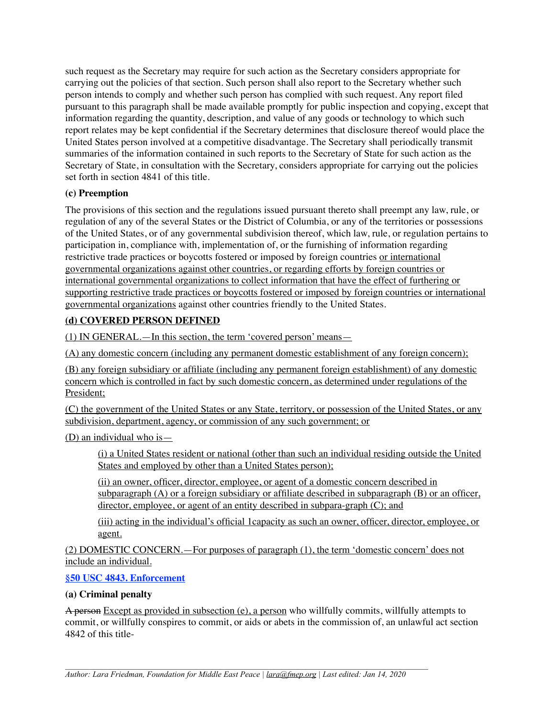such request as the Secretary may require for such action as the Secretary considers appropriate for carrying out the policies of that section. Such person shall also report to the Secretary whether such person intends to comply and whether such person has complied with such request. Any report filed pursuant to this paragraph shall be made available promptly for public inspection and copying, except that information regarding the quantity, description, and value of any goods or technology to which such report relates may be kept confidential if the Secretary determines that disclosure thereof would place the United States person involved at a competitive disadvantage. The Secretary shall periodically transmit summaries of the information contained in such reports to the Secretary of State for such action as the Secretary of State, in consultation with the Secretary, considers appropriate for carrying out the policies set forth in section 4841 of this title.

### **(c) Preemption**

The provisions of this section and the regulations issued pursuant thereto shall preempt any law, rule, or regulation of any of the several States or the District of Columbia, or any of the territories or possessions of the United States, or of any governmental subdivision thereof, which law, rule, or regulation pertains to participation in, compliance with, implementation of, or the furnishing of information regarding restrictive trade practices or boycotts fostered or imposed by foreign countries or international governmental organizations against other countries, or regarding efforts by foreign countries or international governmental organizations to collect information that have the effect of furthering or supporting restrictive trade practices or boycotts fostered or imposed by foreign countries or international governmental organizations against other countries friendly to the United States.

## **(d) COVERED PERSON DEFINED**

(1) IN GENERAL.—In this section, the term 'covered person' means—

(A) any domestic concern (including any permanent domestic establishment of any foreign concern);

(B) any foreign subsidiary or affiliate (including any permanent foreign establishment) of any domestic concern which is controlled in fact by such domestic concern, as determined under regulations of the President;

(C) the government of the United States or any State, territory, or possession of the United States, or any subdivision, department, agency, or commission of any such government; or

(D) an individual who is—

(i) a United States resident or national (other than such an individual residing outside the United States and employed by other than a United States person);

(ii) an owner, officer, director, employee, or agent of a domestic concern described in subparagraph (A) or a foreign subsidiary or affiliate described in subparagraph (B) or an officer, director, employee, or agent of an entity described in subpara-graph (C); and

(iii) acting in the individual's official 1capacity as such an owner, officer, director, employee, or agent.

(2) DOMESTIC CONCERN.—For purposes of paragraph (1), the term 'domestic concern' does not include an individual.

## **[§50 USC 4843. Enforcement](https://uscode.house.gov/view.xhtml?hl=false&edition=2018&path=%2Fprelim%40title50%2Fchapter58%2Fsubchapter2&req=granuleid%3AUSC-2018-title50-section4843&num=0&saved=L3ByZWxpbUB0aXRsZTUwL2NoYXB0ZXI1OC9zdWJjaGFwdGVyMg%3D%3D%7CZ3JhbnVsZWlkOlVTQy1wcmVsaW0tdGl0bGU1MC1jaGFwdGVyNTgtc3ViY2hhcHRlcjI%3D%7C%7C%7C0%7Cfalse%7Cprelim)**

## **(a) Criminal penalty**

A person Except as provided in subsection (e), a person who willfully commits, willfully attempts to commit, or willfully conspires to commit, or aids or abets in the commission of, an unlawful act section 4842 of this title-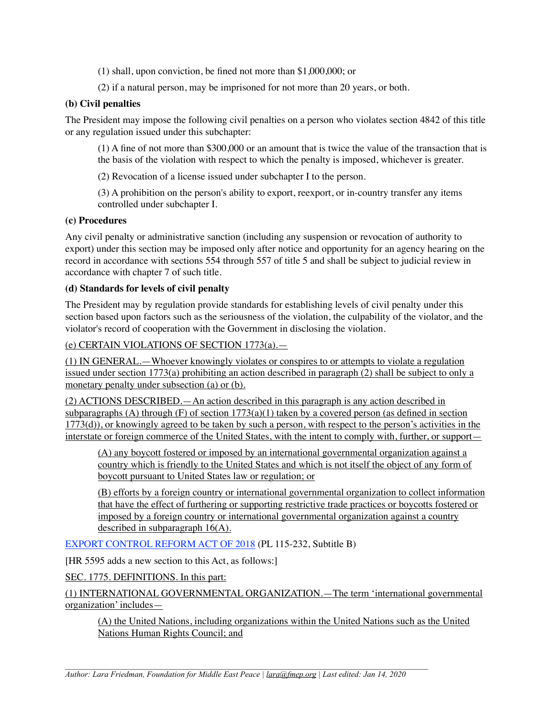- (1) shall, upon conviction, be fined not more than \$1,000,000; or
- (2) if a natural person, may be imprisoned for not more than 20 years, or both.

#### **(b) Civil penalties**

The President may impose the following civil penalties on a person who violates section 4842 of this title or any regulation issued under this subchapter:

(1) A fine of not more than \$300,000 or an amount that is twice the value of the transaction that is the basis of the violation with respect to which the penalty is imposed, whichever is greater.

(2) Revocation of a license issued under subchapter I to the person.

(3) A prohibition on the person's ability to export, reexport, or in-country transfer any items controlled under subchapter I.

#### **(c) Procedures**

Any civil penalty or administrative sanction (including any suspension or revocation of authority to export) under this section may be imposed only after notice and opportunity for an agency hearing on the record in accordance with sections 554 through 557 of title 5 and shall be subject to judicial review in accordance with chapter 7 of such title.

#### **(d) Standards for levels of civil penalty**

The President may by regulation provide standards for establishing levels of civil penalty under this section based upon factors such as the seriousness of the violation, the culpability of the violator, and the violator's record of cooperation with the Government in disclosing the violation.

(e) CERTAIN VIOLATIONS OF SECTION 1773(a).—

(1) IN GENERAL.—Whoever knowingly violates or conspires to or attempts to violate a regulation issued under section 1773(a) prohibiting an action described in paragraph (2) shall be subject to only a monetary penalty under subsection (a) or (b).

(2) ACTIONS DESCRIBED.—An action described in this paragraph is any action described in subparagraphs (A) through (F) of section  $1773(a)(1)$  taken by a covered person (as defined in section  $1773(d)$ ), or knowingly agreed to be taken by such a person, with respect to the person's activities in the interstate or foreign commerce of the United States, with the intent to comply with, further, or support—

(A) any boycott fostered or imposed by an international governmental organization against a country which is friendly to the United States and which is not itself the object of any form of boycott pursuant to United States law or regulation; or

(B) efforts by a foreign country or international governmental organization to collect information that have the effect of furthering or supporting restrictive trade practices or boycotts fostered or imposed by a foreign country or international governmental organization against a country described in subparagraph 16(A).

[EXPORT CONTROL REFORM ACT OF 2018](https://www.congress.gov/bill/115th-congress/house-bill/5515/text) (PL 115-232, Subtitle B)

[HR 5595 adds a new section to this Act, as follows:]

SEC. 1775. DEFINITIONS. In this part:

(1) INTERNATIONAL GOVERNMENTAL ORGANIZATION.—The term 'international governmental organization' includes—

(A) the United Nations, including organizations within the United Nations such as the United Nations Human Rights Council; and